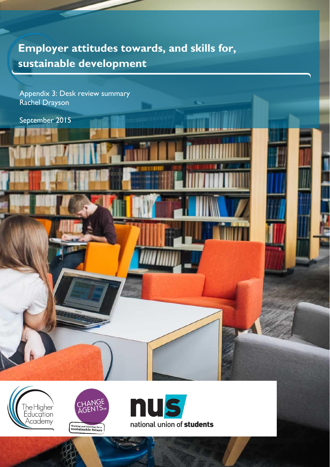# **Employer attitudes towards, and skills for, sustainable development**

Appendix 3: Desk review summary Rachel Drayson

September 2015





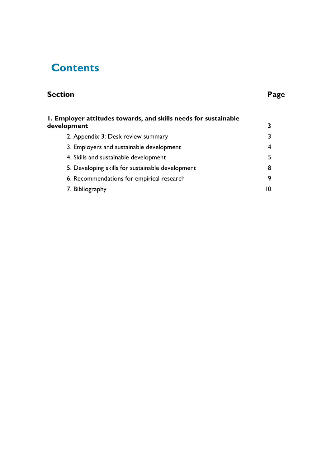# **Contents**

## **Section Page**

| I. Employer attitudes towards, and skills needs for sustainable |    |
|-----------------------------------------------------------------|----|
| development                                                     |    |
| 2. Appendix 3: Desk review summary                              |    |
| 3. Employers and sustainable development                        |    |
| 4. Skills and sustainable development                           |    |
| 5. Developing skills for sustainable development                | 8  |
| 6. Recommendations for empirical research                       | 9  |
| 7. Bibliography                                                 | ıΩ |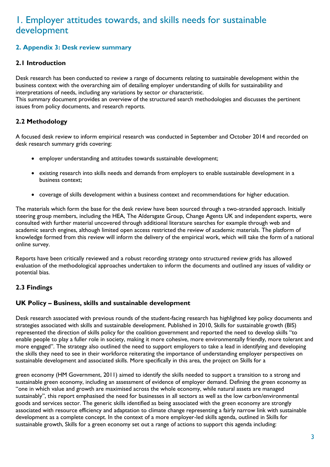## <span id="page-2-0"></span>1. Employer attitudes towards, and skills needs for sustainable development

#### <span id="page-2-1"></span>**2. Appendix 3: Desk review summary**

#### **2.1 Introduction**

Desk research has been conducted to review a range of documents relating to sustainable development within the business context with the overarching aim of detailing employer understanding of skills for sustainability and interpretations of needs, including any variations by sector or characteristic.

This summary document provides an overview of the structured search methodologies and discusses the pertinent issues from policy documents, and research reports.

#### **2.2 Methodology**

A focused desk review to inform empirical research was conducted in September and October 2014 and recorded on desk research summary grids covering:

- employer understanding and attitudes towards sustainable development;
- existing research into skills needs and demands from employers to enable sustainable development in a business context;
- coverage of skills development within a business context and recommendations for higher education.

The materials which form the base for the desk review have been sourced through a two-stranded approach. Initially steering group members, including the HEA, The Aldersgate Group, Change Agents UK and independent experts, were consulted with further material uncovered through additional literature searches for example through web and academic search engines, although limited open access restricted the review of academic materials. The platform of knowledge formed from this review will inform the delivery of the empirical work, which will take the form of a national online survey.

Reports have been critically reviewed and a robust recording strategy onto structured review grids has allowed evaluation of the methodological approaches undertaken to inform the documents and outlined any issues of validity or potential bias.

### **2.3 Findings**

#### **UK Policy – Business, skills and sustainable development**

Desk research associated with previous rounds of the student-facing research has highlighted key policy documents and strategies associated with skills and sustainable development. Published in 2010, Skills for sustainable growth (BIS) represented the direction of skills policy for the coalition government and reported the need to develop skills "to enable people to play a fuller role in society, making it more cohesive, more environmentally friendly, more tolerant and more engaged". The strategy also outlined the need to support employers to take a lead in identifying and developing the skills they need to see in their workforce reiterating the importance of understanding employer perspectives on sustainable development and associated skills. More specifically in this area, the project on Skills for a

green economy (HM Government, 2011) aimed to identify the skills needed to support a transition to a strong and sustainable green economy, including an assessment of evidence of employer demand. Defining the green economy as "one in which value and growth are maximised across the whole economy, while natural assets are managed sustainably", this report emphasised the need for businesses in all sectors as well as the low carbon/environmental goods and services sector. The generic skills identified as being associated with the green economy are strongly associated with resource efficiency and adaptation to climate change representing a fairly narrow link with sustainable development as a complete concept. In the context of a more employer-led skills agenda, outlined in Skills for sustainable growth, Skills for a green economy set out a range of actions to support this agenda including: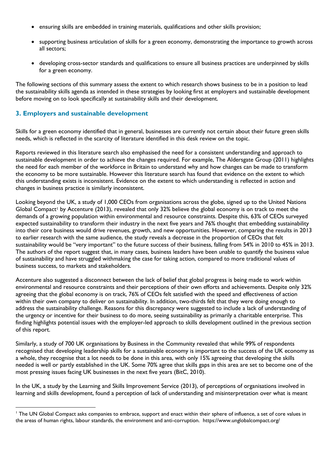- ensuring skills are embedded in training materials, qualifications and other skills provision;
- supporting business articulation of skills for a green economy, demonstrating the importance to growth across all sectors;
- developing cross-sector standards and qualifications to ensure all business practices are underpinned by skills for a green economy.

The following sections of this summary assess the extent to which research shows business to be in a position to lead the sustainability skills agenda as intended in these strategies by looking first at employers and sustainable development before moving on to look specifically at sustainability skills and their development.

#### <span id="page-3-0"></span>**3. Employers and sustainable development**

 $\overline{a}$ 

Skills for a green economy identified that in general, businesses are currently not certain about their future green skills needs, which is reflected in the scarcity of literature identified in this desk review on the topic.

Reports reviewed in this literature search also emphasised the need for a consistent understanding and approach to sustainable development in order to achieve the changes required. For example, The Aldersgate Group (2011) highlights the need for each member of the workforce in Britain to understand why and how changes can be made to transform the economy to be more sustainable. However this literature search has found that evidence on the extent to which this understanding exists is inconsistent. Evidence on the extent to which understanding is reflected in action and changes in business practice is similarly inconsistent.

Looking beyond the UK, a study of 1,000 CEOs from organisations across the globe, signed up to the United Nations Global Compact<sup>1</sup> by Accenture (2013), revealed that only 32% believe the global economy is on track to meet the demands of a growing population within environmental and resource constraints. Despite this, 63% of CEOs surveyed expected sustainability to transform their industry in the next five years and 76% thought that embedding sustainability into their core business would drive revenues, growth, and new opportunities. However, comparing the results in 2013 to earlier research with the same audience, the study reveals a decrease in the proportion of CEOs that felt sustainability would be "very important" to the future success of their business, falling from 54% in 2010 to 45% in 2013. The authors of the report suggest that, in many cases, business leaders have been unable to quantify the business value of sustainability and have struggled withmaking the case for taking action, compared to more traditional values of business success, to markets and stakeholders.

Accenture also suggested a disconnect between the lack of belief that global progress is being made to work within environmental and resource constraints and their perceptions of their own efforts and achievements. Despite only 32% agreeing that the global economy is on track, 76% of CEOs felt satisfied with the speed and effectiveness of action within their own company to deliver on sustainability. In addition, two-thirds felt that they were doing enough to address the sustainability challenge. Reasons for this discrepancy were suggested to include a lack of understanding of the urgency or incentive for their business to do more, seeing sustainability as primarily a charitable enterprise. This finding highlights potential issues with the employer-led approach to skills development outlined in the previous section of this report.

Similarly, a study of 700 UK organisations by Business in the Community revealed that while 99% of respondents recognised that developing leadership skills for a sustainable economy is important to the success of the UK economy as a whole, they recognise that a lot needs to be done in this area, with only 15% agreeing that developing the skills needed is well or partly established in the UK. Some 70% agree that skills gaps in this area are set to become one of the most pressing issues facing UK businesses in the next five years (BitC, 2010).

In the UK, a study by the Learning and Skills Improvement Service (2013), of perceptions of organisations involved in learning and skills development, found a perception of lack of understanding and misinterpretation over what is meant

<sup>&</sup>lt;sup>1</sup> The UN Global Compact asks companies to embrace, support and enact within their sphere of influence, a set of core values in the areas of human rights, labour standards, the environment and anti-corruption. https://www.unglobalcompact.org/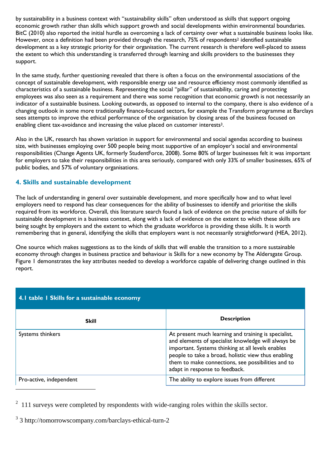by sustainability in a business context with "sustainability skills" often understood as skills that support ongoing economic growth rather than skills which support growth and social developments within environmental boundaries. BitC (2010) also reported the initial hurdle as overcoming a lack of certainty over what a sustainable business looks like. However, once a definition had been provided through the research, 75% of respondents<sup>2</sup> identified sustainable development as a key strategic priority for their organisation. The current research is therefore well-placed to assess the extent to which this understanding is transferred through learning and skills providers to the businesses they support.

In the same study, further questioning revealed that there is often a focus on the environmental associations of the concept of sustainable development, with responsible energy use and resource efficiency most commonly identified as characteristics of a sustainable business. Representing the social "pillar" of sustainability, caring and protecting employees was also seen as a requirement and there was some recognition that economic growth is not necessarily an indicator of a sustainable business. Looking outwards, as opposed to internal to the company, there is also evidence of a changing outlook in some more traditionally finance-focused sectors, for example the Transform programme at Barclays sees attempts to improve the ethical performance of the organisation by closing areas of the business focused on enabling client tax-avoidance and increasing the value placed on customer interests3.

Also in the UK, research has shown variation in support for environmental and social agendas according to business size, with businesses employing over 500 people being most supportive of an employer's social and environmental responsibilities (Change Agents UK, formerly StudentForce, 2008). Some 80% of larger businesses felt it was important for employers to take their responsibilities in this area seriously, compared with only 33% of smaller businesses, 65% of public bodies, and 57% of voluntary organisations.

#### <span id="page-4-0"></span>**4. Skills and sustainable development**

The lack of understanding in general over sustainable development, and more specifically how and to what level employers need to respond has clear consequences for the ability of businesses to identify and prioritise the skills required from its workforce. Overall, this literature search found a lack of evidence on the precise nature of skills for sustainable development in a business context, along with a lack of evidence on the extent to which these skills are being sought by employers and the extent to which the graduate workforce is providing these skills. It is worth remembering that in general, identifying the skills that employers want is not necessarily straightforward (HEA, 2012).

One source which makes suggestions as to the kinds of skills that will enable the transition to a more sustainable economy through changes in business practice and behaviour is Skills for a new economy by The Aldersgate Group. Figure 1 demonstrates the key attributes needed to develop a workforce capable of delivering change outlined in this report.

| 4.1 table 1 Skills for a sustainable economy |                                                                                                                                                                                                                                                                                                                 |  |  |  |
|----------------------------------------------|-----------------------------------------------------------------------------------------------------------------------------------------------------------------------------------------------------------------------------------------------------------------------------------------------------------------|--|--|--|
| <b>Skill</b>                                 | <b>Description</b>                                                                                                                                                                                                                                                                                              |  |  |  |
| Systems thinkers                             | At present much learning and training is specialist,<br>and elements of specialist knowledge will always be<br>important. Systems thinking at all levels enables<br>people to take a broad, holistic view thus enabling<br>them to make connections, see possibilities and to<br>adapt in response to feedback. |  |  |  |
| Pro-active, independent                      | The ability to explore issues from different                                                                                                                                                                                                                                                                    |  |  |  |

 $2\overline{111}$  surveys were completed by respondents with wide-ranging roles within the skills sector.

3 3 http://tomorrowscompany.com/barclays-ethical-turn-2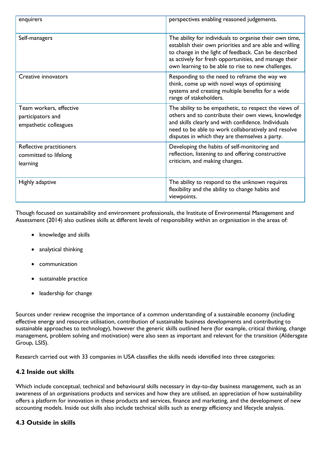| enquirers                                                             | perspectives enabling reasoned judgements.                                                                                                                                                                                                                                                |
|-----------------------------------------------------------------------|-------------------------------------------------------------------------------------------------------------------------------------------------------------------------------------------------------------------------------------------------------------------------------------------|
| Self-managers                                                         | The ability for individuals to organise their own time,<br>establish their own priorities and are able and willing<br>to change in the light of feedback. Can be described<br>as actively for fresh opportunities, and manage their<br>own learning to be able to rise to new challenges. |
| Creative innovators                                                   | Responding to the need to reframe the way we<br>think, come up with novel ways of optimising<br>systems and creating multiple benefits for a wide<br>range of stakeholders.                                                                                                               |
| Team workers, effective<br>participators and<br>empathetic colleagues | The ability to be empathetic, to respect the views of<br>others and to contribute their own views, knowledge<br>and skills clearly and with confidence. Individuals<br>need to be able to work collaboratively and resolve<br>disputes in which they are themselves a party.              |
| Reflective practitioners<br>committed to lifelong<br>learning         | Developing the habits of self-monitoring and<br>reflection, listening to and offering constructive<br>criticism, and making changes.                                                                                                                                                      |
| Highly adaptive                                                       | The ability to respond to the unknown requires<br>flexibility and the ability to change habits and<br>viewpoints.                                                                                                                                                                         |

Though focused on sustainability and environment professionals, the Institute of Environmental Management and Assessment (2014) also outlines skills at different levels of responsibility within an organisation in the areas of:

- knowledge and skills
- analytical thinking
- communication
- sustainable practice
- leadership for change

Sources under review recognise the importance of a common understanding of a sustainable economy (including effective energy and resource utilisation, contribution of sustainable business developments and contributing to sustainable approaches to technology), however the generic skills outlined here (for example, critical thinking, change management, problem solving and motivation) were also seen as important and relevant for the transition (Aldersgate Group, LSIS).

Research carried out with 33 companies in USA classifies the skills needs identified into three categories:

#### **4.2 Inside out skills**

Which include conceptual, technical and behavioural skills necessary in day-to-day business management, such as an awareness of an organisations products and services and how they are utilised, an appreciation of how sustainability offers a platform for innovation in these products and services, finance and marketing, and the development of new accounting models. Inside out skills also include technical skills such as energy efficiency and lifecycle analysis.

#### **4.3 Outside in skills**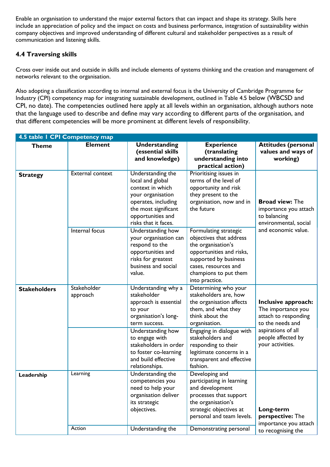Enable an organisation to understand the major external factors that can impact and shape its strategy. Skills here include an appreciation of policy and the impact on costs and business performance, integration of sustainability within company objectives and improved understanding of different cultural and stakeholder perspectives as a result of communication and listening skills.

#### **4.4 Traversing skills**

Cross over inside out and outside in skills and include elements of systems thinking and the creation and management of networks relevant to the organisation.

Also adopting a classification according to internal and external focus is the University of Cambridge Programme for Industry (CPI) competency map for integrating sustainable development, outlined in Table 4.5 below (WBCSD and CPI, no date). The competencies outlined here apply at all levels within an organisation, although authors note that the language used to describe and define may vary according to different parts of the organisation, and that different competencies will be more prominent at different levels of responsibility.

| 4.5 table I CPI Competency map |                         |                                                                                                                                                                                                                                                   |                                                                                                                                                                                                                                                                                   |                                                                                                                                                       |
|--------------------------------|-------------------------|---------------------------------------------------------------------------------------------------------------------------------------------------------------------------------------------------------------------------------------------------|-----------------------------------------------------------------------------------------------------------------------------------------------------------------------------------------------------------------------------------------------------------------------------------|-------------------------------------------------------------------------------------------------------------------------------------------------------|
| <b>Theme</b>                   | <b>Element</b>          | <b>Understanding</b><br>(essential skills<br>and knowledge)                                                                                                                                                                                       | <b>Experience</b><br>(translating<br>understanding into<br>practical action)                                                                                                                                                                                                      | <b>Attitudes (personal</b><br>values and ways of<br>working)                                                                                          |
| <b>Strategy</b>                | <b>External context</b> | Understanding the<br>local and global<br>context in which<br>your organisation<br>operates, including<br>the most significant<br>opportunities and<br>risks that it faces.                                                                        | Prioritising issues in<br>terms of the level of<br>opportunity and risk<br>they present to the<br>organisation, now and in<br>the future                                                                                                                                          | <b>Broad view: The</b><br>importance you attach<br>to balancing<br>environmental, social                                                              |
|                                | Internal focus          | Understanding how<br>your organisation can<br>respond to the<br>opportunities and<br>risks for greatest<br>business and social<br>value.                                                                                                          | Formulating strategic<br>objectives that address<br>the organisation's<br>opportunities and risks,<br>supported by business<br>cases, resources and<br>champions to put them<br>into practice.                                                                                    | and economic value.                                                                                                                                   |
| <b>Stakeholders</b>            | Stakeholder<br>approach | Understanding why a<br>stakeholder<br>approach is essential<br>to your<br>organisation's long-<br>term success.<br>Understanding how<br>to engage with<br>stakeholders in order<br>to foster co-learning<br>and build effective<br>relationships. | Determining who your<br>stakeholders are, how<br>the organisation affects<br>them, and what they<br>think about the<br>organisation.<br>Engaging in dialogue with<br>stakeholders and<br>responding to their<br>legitimate concerns in a<br>transparent and effective<br>fashion. | Inclusive approach:<br>The importance you<br>attach to responding<br>to the needs and<br>aspirations of all<br>people affected by<br>your activities. |
| Leadership                     | Learning                | Understanding the<br>competencies you<br>need to help your<br>organisation deliver<br>its strategic<br>objectives.                                                                                                                                | Developing and<br>participating in learning<br>and development<br>processes that support<br>the organisation's<br>strategic objectives at<br>personal and team levels.                                                                                                            | Long-term<br>perspective: The<br>importance you attach                                                                                                |
|                                | Action                  | Understanding the                                                                                                                                                                                                                                 | Demonstrating personal                                                                                                                                                                                                                                                            | to recognising the                                                                                                                                    |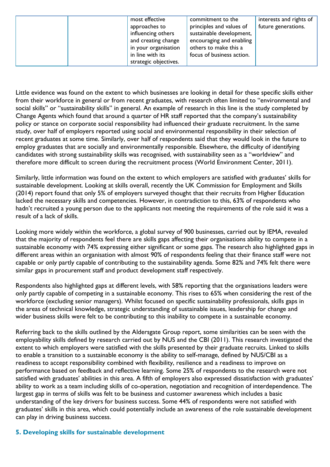|  | most effective        | commitment to the         | interests and rights of |
|--|-----------------------|---------------------------|-------------------------|
|  | approaches to         | principles and values of  | future generations.     |
|  | influencing others    | sustainable development,  |                         |
|  | and creating change   | encouraging and enabling  |                         |
|  | in your organisation  | others to make this a     |                         |
|  | in line with its      | focus of business action. |                         |
|  | strategic objectives. |                           |                         |

Little evidence was found on the extent to which businesses are looking in detail for these specific skills either from their workforce in general or from recent graduates, with research often limited to "environmental and social skills" or "sustainability skills" in general. An example of research in this line is the study completed by Change Agents which found that around a quarter of HR staff reported that the company's sustainability policy or stance on corporate social responsibility had influenced their graduate recruitment. In the same study, over half of employers reported using social and environmental responsibility in their selection of recent graduates at some time. Similarly, over half of respondents said that they would look in the future to employ graduates that are socially and environmentally responsible. Elsewhere, the difficulty of identifying candidates with strong sustainability skills was recognised, with sustainability seen as a "worldview" and therefore more difficult to screen during the recruitment process (World Environment Center, 2011).

Similarly, little information was found on the extent to which employers are satisfied with graduates' skills for sustainable development. Looking at skills overall, recently the UK Commission for Employment and Skills (2014) report found that only 5% of employers surveyed thought that their recruits from Higher Education lacked the necessary skills and competencies. However, in contradiction to this, 63% of respondents who hadn't recruited a young person due to the applicants not meeting the requirements of the role said it was a result of a lack of skills.

Looking more widely within the workforce, a global survey of 900 businesses, carried out by IEMA, revealed that the majority of respondents feel there are skills gaps affecting their organisations ability to compete in a sustainable economy with 74% expressing either significant or some gaps. The research also highlighted gaps in different areas within an organisation with almost 90% of respondents feeling that their finance staff were not capable or only partly capable of contributing to the sustainability agenda. Some 82% and 74% felt there were similar gaps in procurement staff and product development staff respectively.

Respondents also highlighted gaps at different levels, with 58% reporting that the organisations leaders were only partly capable of competing in a sustainable economy. This rises to 65% when considering the rest of the workforce (excluding senior managers). Whilst focused on specific sustainability professionals, skills gaps in the areas of technical knowledge, strategic understanding of sustainable issues, leadership for change and wider business skills were felt to be contributing to this inability to compete in a sustainable economy.

Referring back to the skills outlined by the Aldersgate Group report, some similarities can be seen with the employability skills defined by research carried out by NUS and the CBI (2011). This research investigated the extent to which employers were satisfied with the skills presented by their graduate recruits. Linked to skills to enable a transition to a sustainable economy is the ability to self-manage, defined by NUS/CBI as a readiness to accept responsibility combined with flexibility, resilience and a readiness to improve on performance based on feedback and reflective learning. Some 25% of respondents to the research were not satisfied with graduates' abilities in this area. A fifth of employers also expressed dissatisfaction with graduates' ability to work as a team including skills of co-operation, negotiation and recognition of interdependence. The largest gap in terms of skills was felt to be business and customer awareness which includes a basic understanding of the key drivers for business success. Some 44% of respondents were not satisfied with graduates' skills in this area, which could potentially include an awareness of the role sustainable development can play in driving business success.

#### <span id="page-7-0"></span>**5. Developing skills for sustainable development**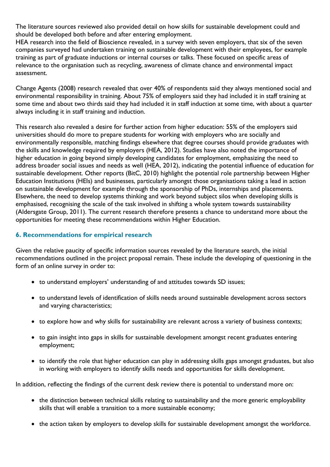The literature sources reviewed also provided detail on how skills for sustainable development could and should be developed both before and after entering employment.

HEA research into the field of Bioscience revealed, in a survey with seven employers, that six of the seven companies surveyed had undertaken training on sustainable development with their employees, for example training as part of graduate inductions or internal courses or talks. These focused on specific areas of relevance to the organisation such as recycling, awareness of climate chance and environmental impact assessment.

Change Agents (2008) research revealed that over 40% of respondents said they always mentioned social and environmental responsibility in training. About 75% of employers said they had included it in staff training at some time and about two thirds said they had included it in staff induction at some time, with about a quarter always including it in staff training and induction.

This research also revealed a desire for further action from higher education: 55% of the employers said universities should do more to prepare students for working with employers who are socially and environmentally responsible, matching findings elsewhere that degree courses should provide graduates with the skills and knowledge required by employers (HEA, 2012). Studies have also noted the importance of higher education in going beyond simply developing candidates for employment, emphasizing the need to address broader social issues and needs as well (HEA, 2012), indicating the potential influence of education for sustainable development. Other reports (BitC, 2010) highlight the potential role partnership between Higher Education Institutions (HEIs) and businesses, particularly amongst those organisations taking a lead in action on sustainable development for example through the sponsorship of PhDs, internships and placements. Elsewhere, the need to develop systems thinking and work beyond subject silos when developing skills is emphasised, recognising the scale of the task involved in shifting a whole system towards sustainability (Aldersgate Group, 2011). The current research therefore presents a chance to understand more about the opportunities for meeting these recommendations within Higher Education.

#### <span id="page-8-0"></span>**6. Recommendations for empirical research**

Given the relative paucity of specific information sources revealed by the literature search, the initial recommendations outlined in the project proposal remain. These include the developing of questioning in the form of an online survey in order to:

- to understand employers' understanding of and attitudes towards SD issues;
- to understand levels of identification of skills needs around sustainable development across sectors and varying characteristics;
- to explore how and why skills for sustainability are relevant across a variety of business contexts;
- to gain insight into gaps in skills for sustainable development amongst recent graduates entering employment;
- to identify the role that higher education can play in addressing skills gaps amongst graduates, but also in working with employers to identify skills needs and opportunities for skills development.

In addition, reflecting the findings of the current desk review there is potential to understand more on:

- the distinction between technical skills relating to sustainability and the more generic employability skills that will enable a transition to a more sustainable economy;
- the action taken by employers to develop skills for sustainable development amongst the workforce.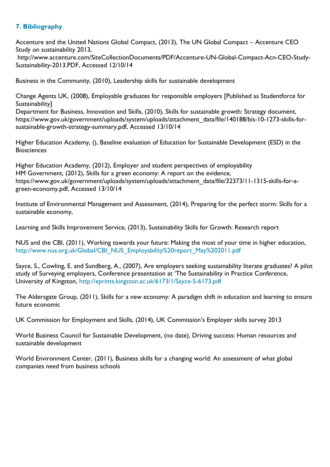#### <span id="page-9-0"></span>**7. Bibliography**

Accenture and the United Nations Global Compact, (2013), The UN Global Compact – Accenture CEO Study on sustainability 2013,

http://www.accenture.com/SiteCollectionDocuments/PDF/Accenture-UN-Global-Compact-Acn-CEO-Study-Sustainability-2013.PDF, Accessed 12/10/14

Business in the Community, (2010), Leadership skills for sustainable development

Change Agents UK, (2008), Employable graduates for responsible employers [Published as Studentforce for Sustainability]

Department for Business, Innovation and Skills, (2010), Skills for sustainable growth: Strategy document, https://www.gov.uk/government/uploads/system/uploads/attachment\_data/file/140188/bis-10-1273-skills-forsustainable-growth-strategy-summary.pdf, Accessed 13/10/14

Higher Education Academy, (), Baseline evaluation of Education for Sustainable Development (ESD) in the **Biosciences** 

Higher Education Academy, (2012), Employer and student perspectives of employability HM Government, (2012), Skills for a green economy: A report on the evidence, https://www.gov.uk/government/uploads/system/uploads/attachment\_data/file/32373/11-1315-skills-for-agreen-economy.pdf, Accessed 13/10/14

Institute of Environmental Management and Assessment, (2014), Preparing for the perfect storm: Skills for a sustainable economy,

Learning and Skills Improvement Service, (2013), Sustainability Skills for Growth: Research report

NUS and the CBI, (2011), Working towards your future: Making the most of your time in higher education, [http://www.nus.org.uk/Global/CBI\\_NUS\\_Employability%20report\\_May%202011.pdf](http://www.nus.org.uk/Global/CBI_NUS_Employability%20report_May%202011.pdf)

Sayce, S., Cowling, E. and Sundberg, A., (2007), Are employers seeking sustainability literate graduates? A pilot study of Surveying employers, Conference presentation at 'The Sustainability in Practice Conference, University of Kingston,<http://eprints.kingston.ac.uk/6173/1/Sayce-S-6173.pdf>

The Aldersgate Group, (2011), Skills for a new economy: A paradigm shift in education and learning to ensure future economic

UK Commission for Employment and Skills, (2014), UK Commission's Employer skills survey 2013

World Business Council for Sustainable Development, (no date), Driving success: Human resources and sustainable development

World Environment Center, (2011), Business skills for a changing world: An assessment of what global companies need from business schools